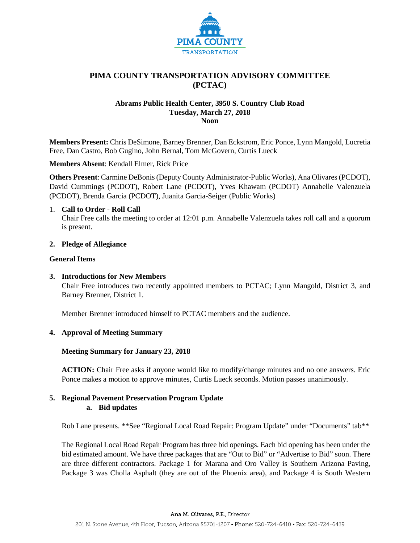

# **PIMA COUNTY TRANSPORTATION ADVISORY COMMITTEE (PCTAC)**

### **Abrams Public Health Center, 3950 S. Country Club Road Tuesday, March 27, 2018 Noon**

**Members Present:** Chris DeSimone, Barney Brenner, Dan Eckstrom, Eric Ponce, Lynn Mangold, Lucretia Free, Dan Castro, Bob Gugino, John Bernal, Tom McGovern, Curtis Lueck

**Members Absent**: Kendall Elmer, Rick Price

**Others Present**: Carmine DeBonis (Deputy County Administrator-Public Works), Ana Olivares (PCDOT), David Cummings (PCDOT), Robert Lane (PCDOT), Yves Khawam (PCDOT) Annabelle Valenzuela (PCDOT), Brenda Garcia (PCDOT), Juanita Garcia-Seiger (Public Works)

### 1. **Call to Order - Roll Call**

Chair Free calls the meeting to order at 12:01 p.m. Annabelle Valenzuela takes roll call and a quorum is present.

### **2. Pledge of Allegiance**

### **General Items**

# **3. Introductions for New Members**

Chair Free introduces two recently appointed members to PCTAC; Lynn Mangold, District 3, and Barney Brenner, District 1.

Member Brenner introduced himself to PCTAC members and the audience.

# **4. Approval of Meeting Summary**

# **Meeting Summary for January 23, 2018**

**ACTION:** Chair Free asks if anyone would like to modify/change minutes and no one answers. Eric Ponce makes a motion to approve minutes, Curtis Lueck seconds. Motion passes unanimously.

# **5. Regional Pavement Preservation Program Update a. Bid updates**

Rob Lane presents. \*\*See "Regional Local Road Repair: Program Update" under "Documents" tab\*\*

The Regional Local Road Repair Program has three bid openings. Each bid opening has been under the bid estimated amount. We have three packages that are "Out to Bid" or "Advertise to Bid" soon. There are three different contractors. Package 1 for Marana and Oro Valley is Southern Arizona Paving, Package 3 was Cholla Asphalt (they are out of the Phoenix area), and Package 4 is South Western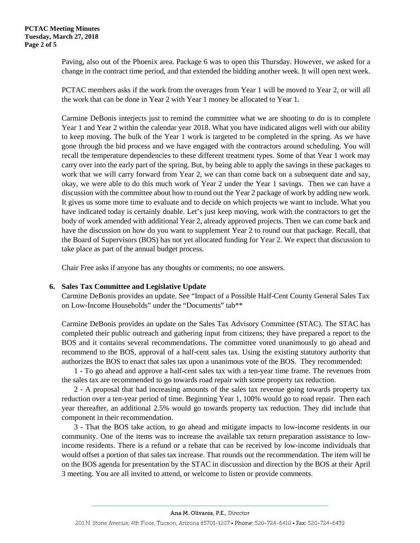Paving, also out of the Phoenix area. Package 6 was to open this Thursday. However, we asked for a change in the contract time period, and that extended the bidding another week. It will open next week.

PCTAC members asks if the work from the overages from Year 1 will be moved to Year 2, or will all the work that can be done in Year 2 with Year 1 money be allocated to Year 1.

Carmine DeBonis interjects just to remind the committee what we are shooting to do is to complete Year 1 and Year 2 within the calendar year 2018. What you have indicated aligns well with our ability to keep moving. The bulk of the Year 1 work is targeted to be completed in the spring. As we have gone through the bid process and we have engaged with the contractors around scheduling. You will recall the temperature dependencies to these different treatment types. Some of that Year 1 work may carry over into the early part of the spring. But, by being able to apply the savings in these packages to work that we will carry forward from Year 2, we can than come back on a subsequent date and say, okay, we were able to do this much work of Year 2 under the Year 1 savings. Then we can have a discussion with the committee about how to round out the Year 2 package of work by adding new work. It gives us some more time to evaluate and to decide on which projects we want to include. What you have indicated today is certainly doable. Let's just keep moving, work with the contractors to get the body of work amended with additional Year 2, already approved projects. Then we can come back and have the discussion on how do you want to supplement Year 2 to round out that package. Recall, that the Board of Supervisors (BOS) has not yet allocated funding for Year 2. We expect that discussion to take place as part of the annual budget process.

Chair Free asks if anyone has any thoughts or comments; no one answers.

# **6. Sales Tax Committee and Legislative Update**

Carmine DeBonis provides an update. See "Impact of a Possible Half-Cent County General Sales Tax on Low-Income Households" under the "Documents" tab\*\*

Carmine DeBonis provides an update on the Sales Tax Advisory Committee (STAC). The STAC has completed their public outreach and gathering input from citizens; they have prepared a report to the BOS and it contains several recommendations. The committee voted unanimously to go ahead and recommend to the BOS, approval of a half-cent sales tax. Using the existing statutory authority that authorizes the BOS to enact that sales tax upon a unanimous vote of the BOS. They recommended:

1 - To go ahead and approve a half-cent sales tax with a ten-year time frame. The revenues from the sales tax are recommended to go towards road repair with some property tax reduction.

2 - A proposal that had increasing amounts of the sales tax revenue going towards property tax reduction over a ten-year period of time. Beginning Year 1, 100% would go to road repair. Then each year thereafter, an additional 2.5% would go towards property tax reduction. They did include that component in their recommendation.

3 - That the BOS take action, to go ahead and mitigate impacts to low-income residents in our community. One of the items was to increase the available tax return preparation assistance to lowincome residents. There is a refund or a rebate that can be received by low-income individuals that would offset a portion of that sales tax increase. That rounds out the recommendation. The item will be on the BOS agenda for presentation by the STAC in discussion and direction by the BOS at their April 3 meeting. You are all invited to attend, or welcome to listen or provide comments.

Ana M. Olivares, P.E., Director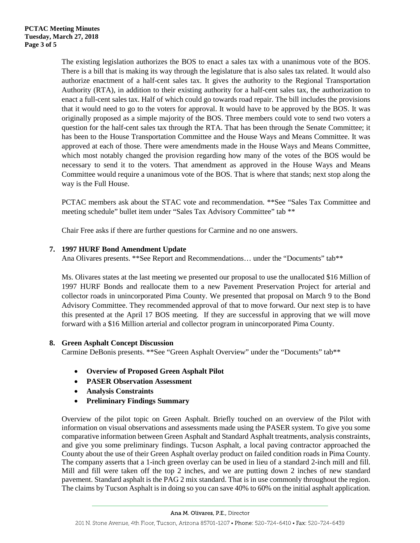The existing legislation authorizes the BOS to enact a sales tax with a unanimous vote of the BOS. There is a bill that is making its way through the legislature that is also sales tax related. It would also authorize enactment of a half-cent sales tax. It gives the authority to the Regional Transportation Authority (RTA), in addition to their existing authority for a half-cent sales tax, the authorization to enact a full-cent sales tax. Half of which could go towards road repair. The bill includes the provisions that it would need to go to the voters for approval. It would have to be approved by the BOS. It was originally proposed as a simple majority of the BOS. Three members could vote to send two voters a question for the half-cent sales tax through the RTA. That has been through the Senate Committee; it has been to the House Transportation Committee and the House Ways and Means Committee. It was approved at each of those. There were amendments made in the House Ways and Means Committee, which most notably changed the provision regarding how many of the votes of the BOS would be necessary to send it to the voters. That amendment as approved in the House Ways and Means Committee would require a unanimous vote of the BOS. That is where that stands; next stop along the way is the Full House.

PCTAC members ask about the STAC vote and recommendation. \*\*See "Sales Tax Committee and meeting schedule" bullet item under "Sales Tax Advisory Committee" tab \*\*

Chair Free asks if there are further questions for Carmine and no one answers.

# **7. 1997 HURF Bond Amendment Update**

Ana Olivares presents. \*\*See Report and Recommendations… under the "Documents" tab\*\*

Ms. Olivares states at the last meeting we presented our proposal to use the unallocated \$16 Million of 1997 HURF Bonds and reallocate them to a new Pavement Preservation Project for arterial and collector roads in unincorporated Pima County. We presented that proposal on March 9 to the Bond Advisory Committee. They recommended approval of that to move forward. Our next step is to have this presented at the April 17 BOS meeting. If they are successful in approving that we will move forward with a \$16 Million arterial and collector program in unincorporated Pima County.

# **8. Green Asphalt Concept Discussion**

Carmine DeBonis presents. \*\*See "Green Asphalt Overview" under the "Documents" tab\*\*

- **Overview of Proposed Green Asphalt Pilot**
- **PASER Observation Assessment**
- **Analysis Constraints**
- **Preliminary Findings Summary**

Overview of the pilot topic on Green Asphalt. Briefly touched on an overview of the Pilot with information on visual observations and assessments made using the PASER system. To give you some comparative information between Green Asphalt and Standard Asphalt treatments, analysis constraints, and give you some preliminary findings. Tucson Asphalt, a local paving contractor approached the County about the use of their Green Asphalt overlay product on failed condition roads in Pima County. The company asserts that a 1-inch green overlay can be used in lieu of a standard 2-inch mill and fill. Mill and fill were taken off the top 2 inches, and we are putting down 2 inches of new standard pavement. Standard asphalt is the PAG 2 mix standard. That is in use commonly throughout the region. The claims by Tucson Asphalt is in doing so you can save 40% to 60% on the initial asphalt application.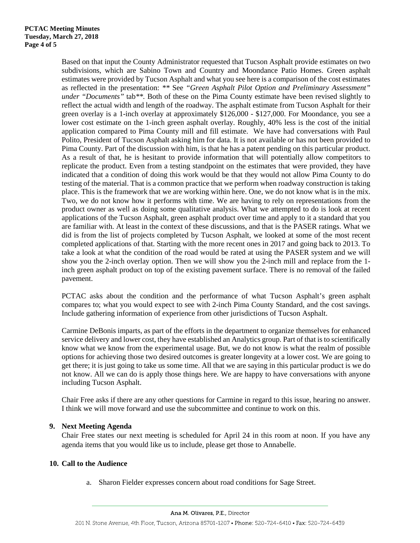Based on that input the County Administrator requested that Tucson Asphalt provide estimates on two subdivisions, which are Sabino Town and Country and Moondance Patio Homes. Green asphalt estimates were provided by Tucson Asphalt and what you see here is a comparison of the cost estimates as reflected in the presentation: *\*\** See *"Green Asphalt Pilot Option and Preliminary Assessment" under "Documents"* tab*\*\*.* Both of these on the Pima County estimate have been revised slightly to reflect the actual width and length of the roadway. The asphalt estimate from Tucson Asphalt for their green overlay is a 1-inch overlay at approximately \$126,000 - \$127,000. For Moondance, you see a lower cost estimate on the 1-inch green asphalt overlay. Roughly, 40% less is the cost of the initial application compared to Pima County mill and fill estimate. We have had conversations with Paul Polito, President of Tucson Asphalt asking him for data. It is not available or has not been provided to Pima County. Part of the discussion with him, is that he has a patent pending on this particular product. As a result of that, he is hesitant to provide information that will potentially allow competitors to replicate the product. Even from a testing standpoint on the estimates that were provided, they have indicated that a condition of doing this work would be that they would not allow Pima County to do testing of the material. That is a common practice that we perform when roadway construction is taking place. This is the framework that we are working within here. One, we do not know what is in the mix. Two, we do not know how it performs with time. We are having to rely on representations from the product owner as well as doing some qualitative analysis. What we attempted to do is look at recent applications of the Tucson Asphalt, green asphalt product over time and apply to it a standard that you are familiar with. At least in the context of these discussions, and that is the PASER ratings. What we did is from the list of projects completed by Tucson Asphalt, we looked at some of the most recent completed applications of that. Starting with the more recent ones in 2017 and going back to 2013. To take a look at what the condition of the road would be rated at using the PASER system and we will show you the 2-inch overlay option. Then we will show you the 2-inch mill and replace from the 1 inch green asphalt product on top of the existing pavement surface. There is no removal of the failed pavement.

PCTAC asks about the condition and the performance of what Tucson Asphalt's green asphalt compares to; what you would expect to see with 2-inch Pima County Standard, and the cost savings. Include gathering information of experience from other jurisdictions of Tucson Asphalt.

Carmine DeBonis imparts, as part of the efforts in the department to organize themselves for enhanced service delivery and lower cost, they have established an Analytics group. Part of that is to scientifically know what we know from the experimental usage. But, we do not know is what the realm of possible options for achieving those two desired outcomes is greater longevity at a lower cost. We are going to get there; it is just going to take us some time. All that we are saying in this particular product is we do not know. All we can do is apply those things here. We are happy to have conversations with anyone including Tucson Asphalt.

Chair Free asks if there are any other questions for Carmine in regard to this issue, hearing no answer. I think we will move forward and use the subcommittee and continue to work on this.

# **9. Next Meeting Agenda**

Chair Free states our next meeting is scheduled for April 24 in this room at noon. If you have any agenda items that you would like us to include, please get those to Annabelle.

# **10. Call to the Audience**

a. Sharon Fielder expresses concern about road conditions for Sage Street.